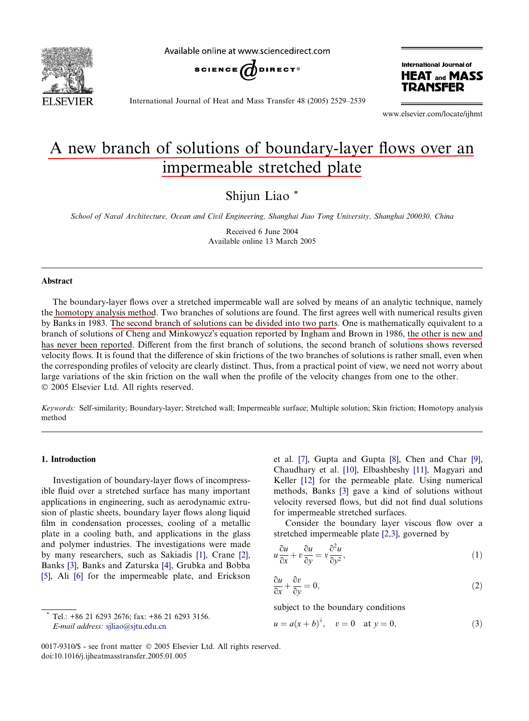

Available online at www.sciencedirect.com



International Journal of **HEAT and MASS** TRANSFER

International Journal of Heat and Mass Transfer 48 (2005) 2529–2539

www.elsevier.com/locate/ijhmt

# A new branch of solutions of boundary-layer flows over an impermeable stretched plate

Shijun Liao \*

School of Naval Architecture, Ocean and Civil Engineering, Shanghai Jiao Tong University, Shanghai 200030, China

Received 6 June 2004 Available online 13 March 2005

#### Abstract

The boundary-layer flows over a stretched impermeable wall are solved by means of an analytic technique, namely the homotopy analysis method. Two branches of solutions are found. The first agrees well with numerical results given by Banks in 1983. The second branch of solutions can be divided into two parts. One is mathematically equivalent to a branch of solutions of Cheng and Minkowycz's equation reported by Ingham and Brown in 1986, the other is new and has never been reported. Different from the first branch of solutions, the second branch of solutions shows reversed velocity flows. It is found that the difference of skin frictions of the two branches of solutions is rather small, even when the corresponding profiles of velocity are clearly distinct. Thus, from a practical point of view, we need not worry about large variations of the skin friction on the wall when the profile of the velocity changes from one to the other. 2005 Elsevier Ltd. All rights reserved.

Keywords: Self-similarity; Boundary-layer; Stretched wall; Impermeable surface; Multiple solution; Skin friction; Homotopy analysis method

# 1. Introduction

Investigation of boundary-layer flows of incompressible fluid over a stretched surface has many important applications in engineering, such as aerodynamic extrusion of plastic sheets, boundary layer flows along liquid film in condensation processes, cooling of a metallic plate in a cooling bath, and applications in the glass and polymer industries. The investigations were made by many researchers, such as Sakiadis [\[1\]](#page-9-0), Crane [\[2\]](#page-9-0), Banks [\[3\],](#page-10-0) Banks and Zaturska [\[4\]](#page-10-0), Grubka and Bobba [\[5\],](#page-10-0) Ali [\[6\]](#page-10-0) for the impermeable plate, and Erickson

Tel.: +86 21 6293 2676; fax: +86 21 6293 3156. E-mail address: [sjliao@sjtu.edu.cn](mailto:sjliao@sjtu.edu.cn)

et al. [\[7\]](#page-10-0), Gupta and Gupta [\[8\]](#page-10-0), Chen and Char [\[9\]](#page-10-0), Chaudhary et al. [\[10\],](#page-10-0) Elbashbeshy [\[11\]](#page-10-0), Magyari and Keller [\[12\]](#page-10-0) for the permeable plate. Using numerical methods, Banks [\[3\]](#page-10-0) gave a kind of solutions without velocity reversed flows, but did not find dual solutions for impermeable stretched surfaces.

Consider the boundary layer viscous flow over a stretched impermeable plate [\[2,3\]](#page-9-0), governed by

$$
u\frac{\partial u}{\partial x} + v\frac{\partial u}{\partial y} = v\frac{\partial^2 u}{\partial y^2},\tag{1}
$$

$$
\frac{\partial u}{\partial x} + \frac{\partial v}{\partial y} = 0,\tag{2}
$$

subject to the boundary conditions

$$
u = a(x + b)^{\lambda}, \quad v = 0 \quad \text{at } y = 0,
$$
 (3)

<sup>0017-9310/\$ -</sup> see front matter © 2005 Elsevier Ltd. All rights reserved. doi:10.1016/j.ijheatmasstransfer.2005.01.005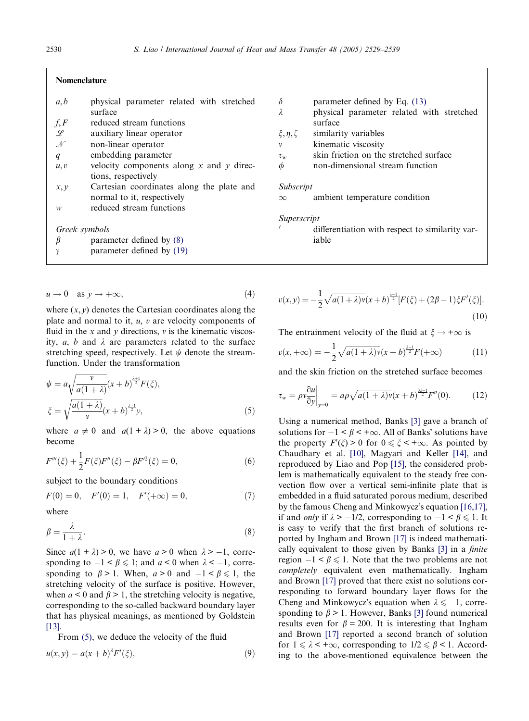<span id="page-1-0"></span>

| a, b          | physical parameter related with stretched                           | $\delta$           | parameter defined by Eq. (13)                   |
|---------------|---------------------------------------------------------------------|--------------------|-------------------------------------------------|
|               | surface                                                             | λ                  | physical parameter related with stretched       |
| f, F          | reduced stream functions                                            |                    | surface                                         |
| L             | auxiliary linear operator                                           | $\xi, \eta, \zeta$ | similarity variables                            |
| N             | non-linear operator                                                 | v                  | kinematic viscosity                             |
| q             | embedding parameter                                                 | $\tau_w$           | skin friction on the stretched surface          |
| u, v          | velocity components along $x$ and $y$ direc-<br>tions, respectively | Φ                  | non-dimensional stream function                 |
| x, y          | Cartesian coordinates along the plate and                           | Subscript          |                                                 |
|               | normal to it, respectively                                          | $\infty$           | ambient temperature condition                   |
| w             | reduced stream functions                                            |                    |                                                 |
|               |                                                                     | Superscript        |                                                 |
| Greek symbols |                                                                     |                    | differentiation with respect to similarity var- |
| β             | parameter defined by (8)                                            |                    | iable                                           |
| ν             | parameter defined by (19)                                           |                    |                                                 |
|               |                                                                     |                    |                                                 |

$$
u \to 0 \quad \text{as } y \to +\infty,\tag{4}
$$

where  $(x, y)$  denotes the Cartesian coordinates along the plate and normal to it,  $u$ ,  $v$  are velocity components of fluid in the x and y directions,  $\nu$  is the kinematic viscosity, a, b and  $\lambda$  are parameters related to the surface stretching speed, respectively. Let  $\psi$  denote the streamfunction. Under the transformation

$$
\psi = a \sqrt{\frac{v}{a(1+\lambda)}} (x+b)^{\frac{\lambda+1}{2}} F(\xi),
$$
  

$$
\xi = \sqrt{\frac{a(1+\lambda)}{v}} (x+b)^{\frac{\lambda-1}{2}} y,
$$
 (5)

where  $a \neq 0$  and  $a(1 + \lambda) > 0$ , the above equations become

$$
F'''(\xi) + \frac{1}{2}F(\xi)F''(\xi) - \beta F'^2(\xi) = 0,
$$
\n(6)

subject to the boundary conditions

$$
F(0) = 0, \quad F'(0) = 1, \quad F'(+\infty) = 0,
$$
\n(7)

where

$$
\beta = \frac{\lambda}{1 + \lambda}.\tag{8}
$$

Since  $a(1 + \lambda) > 0$ , we have  $a > 0$  when  $\lambda > -1$ , corresponding to  $-1 < \beta \le 1$ ; and  $a < 0$  when  $\lambda < -1$ , corresponding to  $\beta > 1$ . When,  $a > 0$  and  $-1 < \beta \le 1$ , the stretching velocity of the surface is positive. However, when  $a < 0$  and  $\beta > 1$ , the stretching velocity is negative, corresponding to the so-called backward boundary layer that has physical meanings, as mentioned by Goldstein [\[13\]](#page-10-0).

From (5), we deduce the velocity of the fluid

$$
u(x, y) = a(x + b)^{\lambda} F'(\xi), \qquad (9)
$$

$$
v(x,y) = -\frac{1}{2}\sqrt{a(1+\lambda)v}(x+b)^{\frac{\lambda-1}{2}}[F(\xi) + (2\beta-1)\xi F'(\xi)].
$$
\n(10)

The entrainment velocity of the fluid at  $\xi \to +\infty$  is

$$
v(x, +\infty) = -\frac{1}{2}\sqrt{a(1+\lambda)v}(x+b)^{\frac{\lambda-1}{2}}F(+\infty)
$$
 (11)

and the skin friction on the stretched surface becomes

$$
\tau_w = \rho v \frac{\partial u}{\partial y}\Big|_{y=0} = a\rho \sqrt{a(1+\lambda)v}(x+b)^{\frac{3\lambda-1}{2}}F''(0). \tag{12}
$$

Using a numerical method, Banks [\[3\]](#page-10-0) gave a branch of solutions for  $-1 < \beta < +\infty$ . All of Banks' solutions have the property  $F'(\xi) > 0$  for  $0 \le \xi < +\infty$ . As pointed by Chaudhary et al. [\[10\]](#page-10-0), Magyari and Keller [\[14\]](#page-10-0), and reproduced by Liao and Pop [\[15\]](#page-10-0), the considered problem is mathematically equivalent to the steady free convection flow over a vertical semi-infinite plate that is embedded in a fluid saturated porous medium, described by the famous Cheng and Minkowycz's equation  $[16,17]$ , if and *only* if  $\lambda > -1/2$ , corresponding to  $-1 < \beta \le 1$ . It is easy to verify that the first branch of solutions reported by Ingham and Brown [\[17\]](#page-10-0) is indeed mathematically equivalent to those given by Banks [\[3\]](#page-10-0) in a finite region  $-1 < \beta \le 1$ . Note that the two problems are not completely equivalent even mathematically. Ingham and Brown [\[17\]](#page-10-0) proved that there exist no solutions corresponding to forward boundary layer flows for the Cheng and Minkowycz's equation when  $\lambda \le -1$ , corresponding to  $\beta$  > 1. However, Banks [\[3\]](#page-10-0) found numerical results even for  $\beta$  = 200. It is interesting that Ingham and Brown [\[17\]](#page-10-0) reported a second branch of solution for  $1 \le \lambda < +\infty$ , corresponding to  $1/2 \le \beta < 1$ . According to the above-mentioned equivalence between the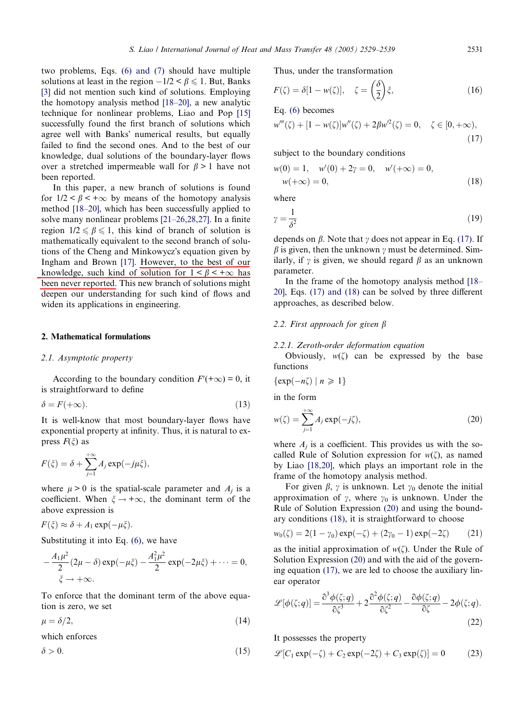<span id="page-2-0"></span>two problems, Eqs. [\(6\) and \(7\)](#page-1-0) should have multiple solutions at least in the region  $-1/2 < \beta \le 1$ . But, Banks [\[3\]](#page-10-0) did not mention such kind of solutions. Employing the homotopy analysis method [\[18–20\],](#page-10-0) a new analytic technique for nonlinear problems, Liao and Pop [\[15\]](#page-10-0) successfully found the first branch of solutions which agree well with Banks' numerical results, but equally failed to find the second ones. And to the best of our knowledge, dual solutions of the boundary-layer flows over a stretched impermeable wall for  $\beta > 1$  have not been reported.

In this paper, a new branch of solutions is found for  $1/2 < \beta < +\infty$  by means of the homotopy analysis method [\[18–20\]](#page-10-0), which has been successfully applied to solve many nonlinear problems [\[21–26,28,27\]](#page-10-0). In a finite region  $1/2 \le \beta \le 1$ , this kind of branch of solution is mathematically equivalent to the second branch of solutions of the Cheng and Minkowycz's equation given by Ingham and Brown [\[17\]](#page-10-0). However, to the best of our knowledge, such kind of solution for  $1 \leq \beta \leq +\infty$  has been never reported. This new branch of solutions might deepen our understanding for such kind of flows and widen its applications in engineering.

# 2. Mathematical formulations

# 2.1. Asymptotic property

According to the boundary condition  $F'(+\infty) = 0$ , it is straightforward to define

$$
\delta = F(+\infty). \tag{13}
$$

It is well-know that most boundary-layer flows have exponential property at infinity. Thus, it is natural to express  $F(\xi)$  as

$$
F(\zeta) = \delta + \sum_{j=1}^{+\infty} A_j \exp(-j\mu \zeta),
$$

where  $\mu > 0$  is the spatial-scale parameter and  $A_i$  is a coefficient. When  $\xi \rightarrow +\infty$ , the dominant term of the above expression is

$$
F(\xi) \approx \delta + A_1 \exp(-\mu \xi).
$$

Substituting it into Eq. [\(6\),](#page-1-0) we have

$$
-\frac{A_1\mu^2}{2}(2\mu-\delta)\exp(-\mu\xi)-\frac{A_1^2\mu^2}{2}\exp(-2\mu\xi)+\cdots=0,
$$
  

$$
\xi\to+\infty.
$$

To enforce that the dominant term of the above equation is zero, we set

$$
\mu = \delta/2,\tag{14}
$$

which enforces

$$
\delta > 0. \tag{15}
$$

Thus, under the transformation

$$
F(\zeta) = \delta[1 - w(\zeta)], \quad \zeta = \left(\frac{\delta}{2}\right)\xi,\tag{16}
$$

Eq. [\(6\)](#page-1-0) becomes

$$
w'''(\zeta) + [1 - w(\zeta)]w''(\zeta) + 2\beta w'^2(\zeta) = 0, \quad \zeta \in [0, +\infty),
$$
\n(17)

subject to the boundary conditions

$$
w(0) = 1, \quad w'(0) + 2\gamma = 0, \quad w'(+\infty) = 0,
$$
  

$$
w(+\infty) = 0,
$$
 (18)

where

$$
\gamma = \frac{1}{\delta^2} \tag{19}
$$

depends on  $\beta$ . Note that  $\gamma$  does not appear in Eq. (17). If  $\beta$  is given, then the unknown  $\gamma$  must be determined. Similarly, if  $\gamma$  is given, we should regard  $\beta$  as an unknown parameter.

In the frame of the homotopy analysis method [\[18–](#page-10-0) [20\],](#page-10-0) Eqs. (17) and (18) can be solved by three different approaches, as described below.

## 2.2. First approach for given  $\beta$

#### 2.2.1. Zeroth-order deformation equation

Obviously,  $w(\zeta)$  can be expressed by the base functions

$$
\{\exp(-n\zeta) \mid n \geq 1\}
$$

in the form

$$
w(\zeta) = \sum_{j=1}^{+\infty} A_j \exp(-j\zeta), \qquad (20)
$$

where  $A_i$  is a coefficient. This provides us with the socalled Rule of Solution expression for  $w(\zeta)$ , as named by Liao [\[18,20\]](#page-10-0), which plays an important role in the frame of the homotopy analysis method.

For given  $\beta$ ,  $\gamma$  is unknown. Let  $\gamma_0$  denote the initial approximation of  $\gamma$ , where  $\gamma_0$  is unknown. Under the Rule of Solution Expression (20) and using the boundary conditions (18), it is straightforward to choose

$$
w_0(\zeta) = 2(1 - \gamma_0) \exp(-\zeta) + (2\gamma_0 - 1) \exp(-2\zeta) \tag{21}
$$

as the initial approximation of  $w(\zeta)$ . Under the Rule of Solution Expression (20) and with the aid of the governing equation (17), we are led to choose the auxiliary linear operator

$$
\mathcal{L}[\phi(\zeta;q)] = \frac{\partial^3 \phi(\zeta;q)}{\partial \zeta^3} + 2 \frac{\partial^2 \phi(\zeta;q)}{\partial \zeta^2} - \frac{\partial \phi(\zeta;q)}{\partial \zeta} - 2\phi(\zeta;q). \tag{22}
$$

It possesses the property

$$
\mathcal{L}[C_1 \exp(-\zeta) + C_2 \exp(-2\zeta) + C_3 \exp(\zeta)] = 0 \qquad (23)
$$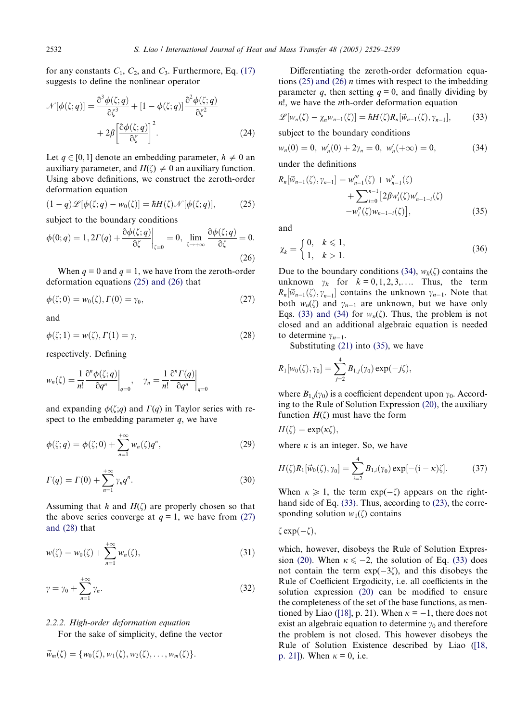<span id="page-3-0"></span>for any constants  $C_1$ ,  $C_2$ , and  $C_3$ . Furthermore, Eq. [\(17\)](#page-2-0) suggests to define the nonlinear operator

$$
\mathcal{N}[\phi(\zeta;q)] = \frac{\partial^3 \phi(\zeta;q)}{\partial \zeta^3} + [1 - \phi(\zeta;q)] \frac{\partial^2 \phi(\zeta;q)}{\partial \zeta^2} + 2\beta \left[ \frac{\partial \phi(\zeta;q)}{\partial \zeta} \right]^2.
$$
\n(24)

Let  $q \in [0, 1]$  denote an embedding parameter,  $\hbar \neq 0$  an auxiliary parameter, and  $H(\zeta) \neq 0$  an auxiliary function. Using above definitions, we construct the zeroth-order deformation equation

$$
(1-q)\mathcal{L}[\phi(\zeta;q) - w_0(\zeta)] = \hbar H(\zeta)\mathcal{N}[\phi(\zeta;q)],\tag{25}
$$

subject to the boundary conditions

$$
\phi(0;q) = 1, 2\Gamma(q) + \frac{\partial \phi(\zeta;q)}{\partial \zeta}\Big|_{\zeta=0} = 0, \lim_{\zeta \to +\infty} \frac{\partial \phi(\zeta;q)}{\partial \zeta} = 0.
$$
\n(26)

When  $q = 0$  and  $q = 1$ , we have from the zeroth-order deformation equations (25) and (26) that

$$
\phi(\zeta;0) = w_0(\zeta), \Gamma(0) = \gamma_0,\tag{27}
$$

and

$$
\phi(\zeta; 1) = w(\zeta), \Gamma(1) = \gamma,\tag{28}
$$

respectively. Defining

$$
w_n(\zeta) = \frac{1}{n!} \frac{\partial^n \phi(\zeta; q)}{\partial q^n} \bigg|_{q=0}, \quad \gamma_n = \frac{1}{n!} \frac{\partial^n \Gamma(q)}{\partial q^n} \bigg|_{q=0}
$$

and expanding  $\phi(\zeta;q)$  and  $\Gamma(q)$  in Taylor series with respect to the embedding parameter  $q$ , we have

$$
\phi(\zeta;q) = \phi(\zeta;0) + \sum_{n=1}^{+\infty} w_n(\zeta)q^n, \qquad (29)
$$

$$
\Gamma(q) = \Gamma(0) + \sum_{n=1}^{+\infty} \gamma_n q^n.
$$
 (30)

Assuming that h and  $H(\zeta)$  are properly chosen so that the above series converge at  $q = 1$ , we have from (27) and (28) that

$$
w(\zeta) = w_0(\zeta) + \sum_{n=1}^{+\infty} w_n(\zeta), \qquad (31)
$$

$$
\gamma = \gamma_0 + \sum_{n=1}^{+\infty} \gamma_n.
$$
\n(32)

#### 2.2.2. High-order deformation equation

For the sake of simplicity, define the vector

$$
\vec{w}_m(\zeta)=\{w_0(\zeta),w_1(\zeta),w_2(\zeta),\ldots,w_m(\zeta)\}.
$$

Differentiating the zeroth-order deformation equations  $(25)$  and  $(26)$  *n* times with respect to the imbedding parameter q, then setting  $q = 0$ , and finally dividing by n!, we have the nth-order deformation equation

$$
\mathscr{L}[w_n(\zeta) - \chi_n w_{n-1}(\zeta)] = \hbar H(\zeta) R_n[\vec{w}_{n-1}(\zeta), \gamma_{n-1}], \tag{33}
$$

subject to the boundary conditions

$$
w_n(0) = 0, \ w'_n(0) + 2\gamma_n = 0, \ w'_n(+\infty) = 0,
$$
 (34)

under the definitions

$$
R_n[\vec{w}_{n-1}(\zeta), \gamma_{n-1}] = w_{n-1}'''(\zeta) + w_{n-1}''(\zeta)
$$
  
+ 
$$
\sum_{i=0}^{n-1} [2\beta w_i'(\zeta) w_{n-1-i}'(\zeta)
$$
  
- 
$$
w_i''(\zeta) w_{n-1-i}(\zeta)],
$$
 (35)

and

$$
\chi_k = \begin{cases} 0, & k \leq 1, \\ 1, & k > 1. \end{cases}
$$
 (36)

Due to the boundary conditions (34),  $w_k(\zeta)$  contains the unknown  $\gamma_k$  for  $k = 0, 1, 2, 3,...$  Thus, the term  $R_n[\vec{w}_{n-1}(\zeta), \gamma_{n-1}]$  contains the unknown  $\gamma_{n-1}$ . Note that both  $w_n(\zeta)$  and  $\gamma_{n-1}$  are unknown, but we have only Eqs. (33) and (34) for  $w_n(\zeta)$ . Thus, the problem is not closed and an additional algebraic equation is needed to determine  $\gamma_{n-1}$ .

Substituting [\(21\)](#page-2-0) into (35), we have

$$
R_1[w_0(\zeta), \gamma_0] = \sum_{j=2}^4 B_{1,j}(\gamma_0) \exp(-j\zeta),
$$

where  $B_{1,j}(\gamma_0)$  is a coefficient dependent upon  $\gamma_0$ . According to the Rule of Solution Expression [\(20\)](#page-2-0), the auxiliary function  $H(\zeta)$  must have the form

$$
H(\zeta) = \exp(\kappa \zeta),
$$

where  $\kappa$  is an integer. So, we have

$$
H(\zeta)R_1[\vec{w}_0(\zeta), \gamma_0] = \sum_{i=2}^4 B_{1,i}(\gamma_0) \exp[-(i - \kappa)\zeta]. \tag{37}
$$

When  $\kappa \geq 1$ , the term  $\exp(-\zeta)$  appears on the righthand side of Eq. (33). Thus, according to [\(23\)](#page-2-0), the corresponding solution  $w_1(\zeta)$  contains

 $\zeta \exp(-\zeta),$ 

which, however, disobeys the Rule of Solution Expres-sion [\(20\).](#page-2-0) When  $\kappa \le -2$ , the solution of Eq. (33) does not contain the term  $exp(-3\zeta)$ , and this disobeys the Rule of Coefficient Ergodicity, i.e. all coefficients in the solution expression [\(20\)](#page-2-0) can be modified to ensure the completeness of the set of the base functions, as men-tioned by Liao [\(\[18\]](#page-10-0), p. 21). When  $\kappa = -1$ , there does not exist an algebraic equation to determine  $y_0$  and therefore the problem is not closed. This however disobeys the Rule of Solution Existence described by Liao ([\[18,](#page-10-0) [p. 21\]](#page-10-0)). When  $\kappa = 0$ , i.e.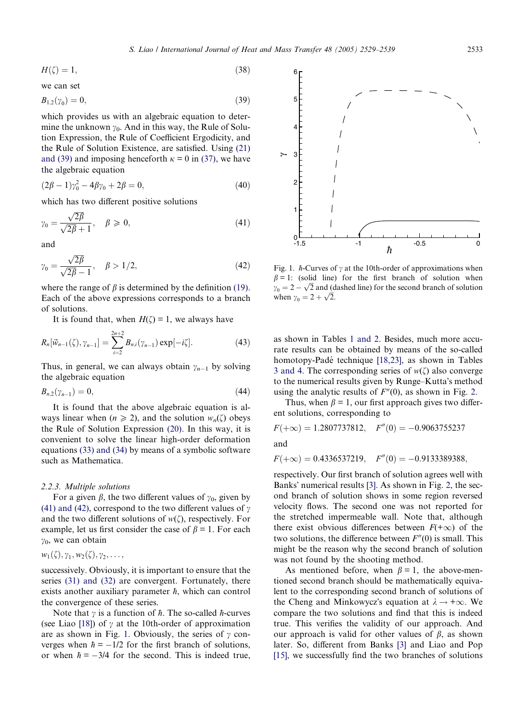<span id="page-4-0"></span>
$$
H(\zeta) = 1,\tag{38}
$$

we can set

$$
B_{1,2}(\gamma_0) = 0,\t\t(39)
$$

which provides us with an algebraic equation to determine the unknown  $\gamma_0$ . And in this way, the Rule of Solution Expression, the Rule of Coefficient Ergodicity, and the Rule of Solution Existence, are satisfied. Using [\(21\)](#page-2-0) [and \(39\)](#page-2-0) and imposing henceforth  $\kappa = 0$  in [\(37\)](#page-3-0), we have the algebraic equation

$$
(2\beta - 1)\gamma_0^2 - 4\beta\gamma_0 + 2\beta = 0,\t\t(40)
$$

which has two different positive solutions

$$
\gamma_0 = \frac{\sqrt{2\beta}}{\sqrt{2\beta} + 1}, \quad \beta \ge 0,
$$
\n(41)

and

$$
\gamma_0 = \frac{\sqrt{2\beta}}{\sqrt{2\beta} - 1}, \quad \beta > 1/2,
$$
\n(42)

where the range of  $\beta$  is determined by the definition [\(19\)](#page-2-0). Each of the above expressions corresponds to a branch of solutions.

It is found that, when  $H(\zeta) = 1$ , we always have

$$
R_n[\vec{w}_{n-1}(\zeta), \gamma_{n-1}] = \sum_{i=2}^{2n+2} B_{n,i}(\gamma_{n-1}) \exp[-i\zeta]. \tag{43}
$$

Thus, in general, we can always obtain  $\gamma_{n-1}$  by solving the algebraic equation

$$
B_{n,2}(\gamma_{n-1})=0,\t\t(44)
$$

It is found that the above algebraic equation is always linear when  $(n \ge 2)$ , and the solution  $w_n(\zeta)$  obeys the Rule of Solution Expression [\(20\)](#page-2-0). In this way, it is convenient to solve the linear high-order deformation equations [\(33\) and \(34\)](#page-3-0) by means of a symbolic software such as Mathematica.

#### 2.2.3. Multiple solutions

For a given  $\beta$ , the two different values of  $\gamma_0$ , given by (41) and (42), correspond to the two different values of  $\gamma$ and the two different solutions of  $w(\zeta)$ , respectively. For example, let us first consider the case of  $\beta = 1$ . For each  $\gamma_0$ , we can obtain

$$
w_1(\zeta), \gamma_1, w_2(\zeta), \gamma_2, \ldots,
$$

successively. Obviously, it is important to ensure that the series [\(31\) and \(32\)](#page-3-0) are convergent. Fortunately, there exists another auxiliary parameter  $\hbar$ , which can control the convergence of these series.

Note that  $\gamma$  is a function of  $\hbar$ . The so-called  $\hbar$ -curves (see Liao [\[18\]](#page-10-0)) of  $\gamma$  at the 10th-order of approximation are as shown in Fig. 1. Obviously, the series of  $\gamma$  converges when  $\hbar = -1/2$  for the first branch of solutions, or when  $\hbar = -3/4$  for the second. This is indeed true,



Fig. 1.  $\hbar$ -Curves of  $\gamma$  at the 10th-order of approximations when  $\beta = 1$ : (solid line) for the first branch of solution when  $p = 1$ : (solid line) for the lift branch of solution when<br>  $p_0 = 2 - \sqrt{2}$  and (dashed line) for the second branch of solution  $\gamma_0 = 2 - \sqrt{2}$  and (d)<br>when  $\gamma_0 = 2 + \sqrt{2}$ .

as shown in Tables [1 and 2.](#page-5-0) Besides, much more accurate results can be obtained by means of the so-called homotopy-Padé technique [\[18,23\]](#page-10-0), as shown in Tables [3 and 4.](#page-5-0) The corresponding series of  $w(\zeta)$  also converge to the numerical results given by Runge–Kutta's method using the analytic results of  $F''(0)$ , as shown in Fig. [2](#page-5-0).

Thus, when  $\beta = 1$ , our first approach gives two different solutions, corresponding to

$$
F(+\infty) = 1.2807737812, \quad F''(0) = -0.9063755237
$$

and

$$
F(+\infty) = 0.4336537219, \quad F''(0) = -0.9133389388,
$$

respectively. Our first branch of solution agrees well with Banks' numerical results [\[3\].](#page-10-0) As shown in Fig. [2](#page-5-0), the second branch of solution shows in some region reversed velocity flows. The second one was not reported for the stretched impermeable wall. Note that, although there exist obvious differences between  $F(+\infty)$  of the two solutions, the difference between  $F''(0)$  is small. This might be the reason why the second branch of solution was not found by the shooting method.

As mentioned before, when  $\beta = 1$ , the above-mentioned second branch should be mathematically equivalent to the corresponding second branch of solutions of the Cheng and Minkowycz's equation at  $\lambda \rightarrow +\infty$ . We compare the two solutions and find that this is indeed true. This verifies the validity of our approach. And our approach is valid for other values of  $\beta$ , as shown later. So, different from Banks [\[3\]](#page-10-0) and Liao and Pop [\[15\]](#page-10-0), we successfully find the two branches of solutions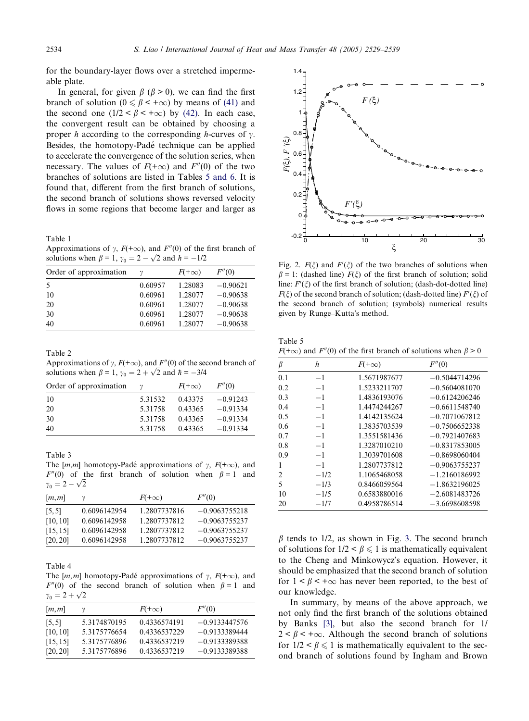<span id="page-5-0"></span>for the boundary-layer flows over a stretched impermeable plate.

In general, for given  $\beta$  ( $\beta > 0$ ), we can find the first branch of solution ( $0 \le \beta < +\infty$ ) by means of [\(41\)](#page-4-0) and the second one  $(1/2 < \beta < +\infty)$  by [\(42\)](#page-4-0). In each case, the convergent result can be obtained by choosing a proper  $\hbar$  according to the corresponding  $\hbar$ -curves of  $\gamma$ . Besides, the homotopy-Padé technique can be applied to accelerate the convergence of the solution series, when necessary. The values of  $F(+\infty)$  and  $F''(0)$  of the two branches of solutions are listed in Tables 5 and 6. It is found that, different from the first branch of solutions, the second branch of solutions shows reversed velocity flows in some regions that become larger and larger as

Table 1

Approximations of  $\gamma$ ,  $F(+\infty)$ , and  $F''(0)$  of the first branch of Approximations of  $\gamma$ ,  $r(\pm \infty)$ , and  $\vec{r}(0)$  of the solutions when  $\beta = 1$ ,  $\gamma_0 = 2 - \sqrt{2}$  and  $\hbar = -1/2$ 

| Order of approximation | $\mathcal V$ | $F(+\infty)$ | F''(0)     |
|------------------------|--------------|--------------|------------|
| 5                      | 0.60957      | 1.28083      | $-0.90621$ |
| 10                     | 0.60961      | 1.28077      | $-0.90638$ |
| 20                     | 0.60961      | 1.28077      | $-0.90638$ |
| 30                     | 0.60961      | 1.28077      | $-0.90638$ |
| 40                     | 0.60961      | 1.28077      | $-0.90638$ |

Table 2

Approximations of  $\gamma$ ,  $F(+\infty)$ , and  $F''(0)$  of the second branch of Approximations of  $\gamma$ ,  $F(\pm \infty)$ , and  $F^{\pm}(0)$  of the set<br>solutions when  $\beta = 1$ ,  $\gamma_0 = 2 + \sqrt{2}$  and  $\hbar = -3/4$ 

| Order of approximation |         | $F(+\infty)$ | F''(0)     |
|------------------------|---------|--------------|------------|
| 10                     | 5.31532 | 0.43375      | $-0.91243$ |
| 20                     | 5.31758 | 0.43365      | $-0.91334$ |
| 30                     | 5.31758 | 0.43365      | $-0.91334$ |
| 40                     | 5.31758 | 0.43365      | $-0.91334$ |

Table 3

The  $[m,m]$  homotopy-Padé approximations of  $\gamma$ ,  $F(+\infty)$ , and  $F''(0)$  of the first branch of solution when  $\beta = 1$  and  $\gamma_0 = 2 - \sqrt{2}$ 

| [m,m]    |              | $F(+\infty)$ | F''(0)          |
|----------|--------------|--------------|-----------------|
| [5, 5]   | 0.6096142954 | 1.2807737816 | $-0.9063755218$ |
| [10, 10] | 0.6096142958 | 1.2807737812 | $-0.9063755237$ |
| [15, 15] | 0.6096142958 | 1.2807737812 | $-0.9063755237$ |
| [20, 20] | 0.6096142958 | 1 2807737812 | $-0.9063755237$ |

Table 4

The  $[m,m]$  homotopy-Padé approximations of  $\gamma$ ,  $F(+\infty)$ , and  $F''(0)$  of the second branch of solution when  $\beta = 1$  and  $\gamma_0 = 2 + \sqrt{2}$ 

| [m,m]    |              | $F(+\infty)$ | F''(0)          |
|----------|--------------|--------------|-----------------|
| [5, 5]   | 5.3174870195 | 0.4336574191 | $-0.9133447576$ |
| [10, 10] | 5.3175776654 | 0.4336537229 | $-0.9133389444$ |
| [15, 15] | 5.3175776896 | 0.4336537219 | $-0.9133389388$ |
| [20, 20] | 5.3175776896 | 0.4336537219 | $-0.9133389388$ |



Fig. 2.  $F(\xi)$  and  $F'(\xi)$  of the two branches of solutions when  $\beta = 1$ : (dashed line)  $F(\xi)$  of the first branch of solution; solid line:  $F'(\xi)$  of the first branch of solution; (dash-dot-dotted line)  $F(\xi)$  of the second branch of solution; (dash-dotted line)  $F'(\xi)$  of the second branch of solution; (symbols) numerical results given by Runge–Kutta's method.

Table 5  $F(+\infty)$  and  $F''(0)$  of the first branch of solutions when  $\beta > 0$ 

| ß              | h      | $F(+\infty)$ | F''(0)          |
|----------------|--------|--------------|-----------------|
| 0.1            | $-1$   | 1.5671987677 | $-0.5044714296$ |
| 0.2            | $-1$   | 1.5233211707 | $-0.5604081070$ |
| 0 <sup>3</sup> | $-1$   | 1.4836193076 | $-0.6124206246$ |
| 0.4            | $-1$   | 1.4474244267 | $-0.6611548740$ |
| 0.5            | $-1$   | 1.4142135624 | $-0.7071067812$ |
| 0.6            | $-1$   | 1.3835703539 | $-0.7506652338$ |
| 0.7            | $-1$   | 1.3551581436 | $-0.7921407683$ |
| 0.8            | $-1$   | 1.3287010210 | $-0.8317853005$ |
| 0.9            | $-1$   | 1.3039701608 | $-0.8698060404$ |
| 1              | $-1$   | 1.2807737812 | $-0.9063755237$ |
| 2              | $-1/2$ | 1.1065468058 | $-1.2160186992$ |
| 5              | $-1/3$ | 0.8466059564 | $-1.8632196025$ |
| 10             | $-1/5$ | 0.6583880016 | $-2.6081483726$ |
| 20             | $-1/7$ | 0.4958786514 | $-3.6698608598$ |

 $\beta$  tends to 1/2, as shown in Fig. [3](#page-6-0). The second branch of solutions for  $1/2 < \beta \le 1$  is mathematically equivalent to the Cheng and Minkowycz's equation. However, it should be emphasized that the second branch of solution for  $1 < \beta < +\infty$  has never been reported, to the best of our knowledge.

In summary, by means of the above approach, we not only find the first branch of the solutions obtained by Banks [\[3\]](#page-10-0), but also the second branch for 1/  $2 < \beta < +\infty$ . Although the second branch of solutions for  $1/2 < \beta \le 1$  is mathematically equivalent to the second branch of solutions found by Ingham and Brown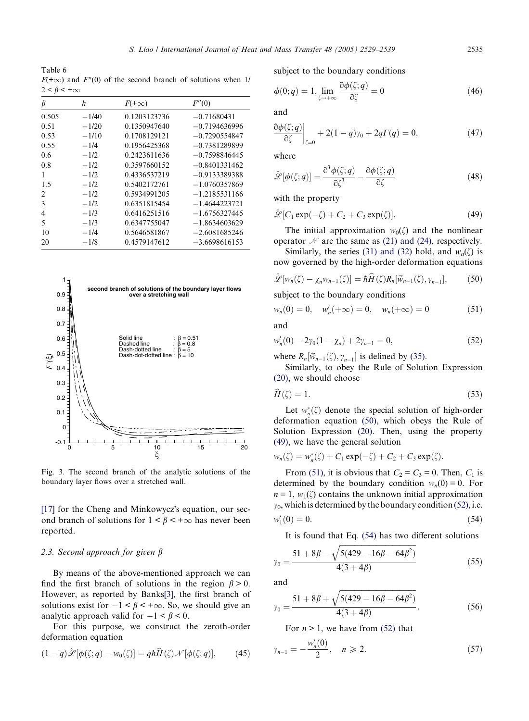<span id="page-6-0"></span>Table 6  $F(+\infty)$  and  $F''(0)$  of the second branch of solutions when 1/  $2 < \beta < +\infty$ 

| β     | h       | $F(+\infty)$ | F''(0)          |
|-------|---------|--------------|-----------------|
| 0.505 | $-1/40$ | 0.1203123736 | $-0.71680431$   |
| 0.51  | $-1/20$ | 0.1350947640 | $-0.7194636996$ |
| 0.53  | $-1/10$ | 0.1708129121 | $-0.7290554847$ |
| 0.55  | $-1/4$  | 0.1956425368 | $-0.7381289899$ |
| 0.6   | $-1/2$  | 0.2423611636 | $-0.7598846445$ |
| 0.8   | $-1/2$  | 0.3597660152 | $-0.8401331462$ |
| 1     | $-1/2$  | 0.4336537219 | $-0.9133389388$ |
| 1.5   | $-1/2$  | 0.5402172761 | $-1.0760357869$ |
| 2     | $-1/2$  | 0.5934991205 | $-1.2185531166$ |
| 3     | $-1/2$  | 0.6351815454 | $-1.4644223721$ |
| 4     | $-1/3$  | 0.6416251516 | $-1.6756327445$ |
| 5     | $-1/3$  | 0.6347755047 | $-1.8634603629$ |
| 10    | $-1/4$  | 0.5646581867 | $-2.6081685246$ |
| 20    | $-1/8$  | 0.4579147612 | $-3.6698616153$ |



Fig. 3. The second branch of the analytic solutions of the boundary layer flows over a stretched wall.

 $[17]$  for the Cheng and Minkowycz's equation, our second branch of solutions for  $1 \leq \beta \leq +\infty$  has never been reported.

# 2.3. Second approach for given  $\beta$

By means of the above-mentioned approach we can find the first branch of solutions in the region  $\beta > 0$ . However, as reported by Banks[\[3\]](#page-10-0), the first branch of solutions exist for  $-1 < \beta < +\infty$ . So, we should give an analytic approach valid for  $-1 < \beta < 0$ .

For this purpose, we construct the zeroth-order deformation equation

$$
(1-q)\hat{\mathscr{L}}[\phi(\zeta;q) - w_0(\zeta)] = q\hbar \hat{H}(\zeta)\mathscr{N}[\phi(\zeta;q)],\qquad(45)
$$

subject to the boundary conditions

$$
\phi(0;q) = 1, \lim_{\zeta \to +\infty} \frac{\partial \phi(\zeta;q)}{\partial \zeta} = 0
$$
\n(46)

and

$$
\left. \frac{\partial \phi(\zeta;q)}{\partial \zeta} \right|_{\zeta=0} + 2(1-q)\gamma_0 + 2q\Gamma(q) = 0, \tag{47}
$$

where

$$
\hat{\mathscr{L}}[\phi(\zeta;q)] = \frac{\partial^3 \phi(\zeta;q)}{\partial \zeta^3} - \frac{\partial \phi(\zeta;q)}{\partial \zeta}
$$
(48)

with the property

$$
\hat{\mathscr{L}}[C_1 \exp(-\zeta) + C_2 + C_3 \exp(\zeta)]. \tag{49}
$$

The initial approximation  $w_0(\zeta)$  and the nonlinear operator  $\mathcal N$  are the same as [\(21\) and \(24\)](#page-2-0), respectively.

Similarly, the series [\(31\) and \(32\)](#page-3-0) hold, and  $w_n(\zeta)$  is now governed by the high-order deformation equations

$$
\hat{\mathscr{L}}[w_n(\zeta) - \chi_n w_{n-1}(\zeta)] = \hbar \hat{H}(\zeta) R_n[\vec{w}_{n-1}(\zeta), \gamma_{n-1}], \qquad (50)
$$

subject to the boundary conditions

$$
w_n(0) = 0, \quad w'_n(+\infty) = 0, \quad w_n(+\infty) = 0 \tag{51}
$$

and

$$
w'_n(0) - 2\gamma_0(1 - \chi_n) + 2\gamma_{n-1} = 0,\tag{52}
$$

where  $R_n[\vec{w}_{n-1}(\zeta), \gamma_{n-1}]$  is defined by [\(35\)](#page-3-0).

Similarly, to obey the Rule of Solution Expression [\(20\),](#page-2-0) we should choose

$$
\widehat{H}(\zeta) = 1. \tag{53}
$$

Let  $w_n^*(\zeta)$  denote the special solution of high-order deformation equation (50), which obeys the Rule of Solution Expression [\(20\)](#page-2-0). Then, using the property (49), we have the general solution

$$
w_n(\zeta) = w_n^*(\zeta) + C_1 \exp(-\zeta) + C_2 + C_3 \exp(\zeta).
$$

From (51), it is obvious that  $C_2 = C_3 = 0$ . Then,  $C_1$  is determined by the boundary condition  $w_n(0) = 0$ . For  $n = 1$ ,  $w_1(\zeta)$  contains the unknown initial approximation  $\gamma_0$ , which is determined by the boundary condition (52), i.e.

$$
w_1'(0) = 0.\t\t(54)
$$

It is found that Eq. (54) has two different solutions

$$
\gamma_0 = \frac{51 + 8\beta - \sqrt{5(429 - 16\beta - 64\beta^2)}}{4(3 + 4\beta)}
$$
(55)

and

$$
\gamma_0 = \frac{51 + 8\beta + \sqrt{5(429 - 16\beta - 64\beta^2)}}{4(3 + 4\beta)}.
$$
\n(56)

For  $n > 1$ , we have from (52) that

$$
\gamma_{n-1} = -\frac{w'_n(0)}{2}, \quad n \ge 2. \tag{57}
$$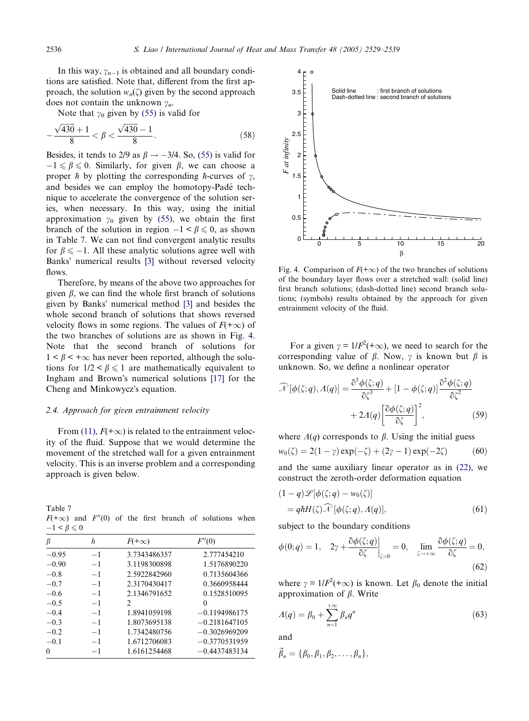<span id="page-7-0"></span>In this way,  $\gamma_{n-1}$  is obtained and all boundary conditions are satisfied. Note that, different from the first approach, the solution  $w_n(\zeta)$  given by the second approach does not contain the unknown  $\gamma_n$ .

Note that  $\gamma_0$  given by [\(55\)](#page-6-0) is valid for

$$
-\frac{\sqrt{430}+1}{8} < \beta < \frac{\sqrt{430}-1}{8}.\tag{58}
$$

Besides, it tends to 2/9 as  $\beta \rightarrow -3/4$ . So, [\(55\)](#page-6-0) is valid for  $-1 \le \beta \le 0$ . Similarly, for given  $\beta$ , we can choose a proper  $\hbar$  by plotting the corresponding  $\hbar$ -curves of  $\gamma$ , and besides we can employ the homotopy-Padé technique to accelerate the convergence of the solution series, when necessary. In this way, using the initial approximation  $\gamma_0$  given by [\(55\)](#page-6-0), we obtain the first branch of the solution in region  $-1 < \beta \le 0$ , as shown in Table 7. We can not find convergent analytic results for  $\beta \le -1$ . All these analytic solutions agree well with Banks' numerical results [\[3\]](#page-10-0) without reversed velocity flows.

Therefore, by means of the above two approaches for given  $\beta$ , we can find the whole first branch of solutions given by Banks' numerical method [\[3\]](#page-10-0) and besides the whole second branch of solutions that shows reversed velocity flows in some regions. The values of  $F(+\infty)$  of the two branches of solutions are as shown in Fig. 4. Note that the second branch of solutions for  $1 \leq \beta \leq +\infty$  has never been reported, although the solutions for  $1/2 < \beta \le 1$  are mathematically equivalent to Ingham and Brown's numerical solutions  $[17]$  for the Cheng and Minkowycz's equation.

#### 2.4. Approach for given entrainment velocity

From [\(11\)](#page-1-0),  $F(+\infty)$  is related to the entrainment velocity of the fluid. Suppose that we would determine the movement of the stretched wall for a given entrainment velocity. This is an inverse problem and a corresponding approach is given below.

Table 7  $F(+\infty)$  and  $F''(0)$  of the first branch of solutions when  $-1 < R < 0$ 

| $\cdot \cdot \cdot$ |      |              |                 |
|---------------------|------|--------------|-----------------|
| β                   | h    | $F(+\infty)$ | F''(0)          |
| $-0.95$             | $-1$ | 3.7343486357 | 2.777454210     |
| $-0.90$             | $-1$ | 3.1198300898 | 1.5176890220    |
| $-0.8$              | $-1$ | 2.5922842960 | 0.7135604366    |
| $-0.7$              | $-1$ | 2.3170430417 | 0.3660958444    |
| $-0.6$              | $-1$ | 2.1346791652 | 0.1528510095    |
| $-0.5$              | $-1$ | 2            | 0               |
| $-0.4$              | $-1$ | 1.8941059198 | $-0.1194986175$ |
| $-0.3$              | $-1$ | 1.8073695138 | $-0.2181647105$ |
| $-0.2$              | $-1$ | 1.7342480756 | $-0.3026969209$ |
| $-0.1$              | $-1$ | 1.6712706083 | $-0.3770531959$ |
| $\theta$            | $-1$ | 1.6161254468 | $-0.4437483134$ |



Fig. 4. Comparison of  $F(+\infty)$  of the two branches of solutions of the boundary layer flows over a stretched wall: (solid line) first branch solutions; (dash-dotted line) second branch solutions; (symbols) results obtained by the approach for given entrainment velocity of the fluid.

For a given  $\gamma = 1/F^2(+\infty)$ , we need to search for the corresponding value of  $\beta$ . Now,  $\gamma$  is known but  $\beta$  is unknown. So, we define a nonlinear operator

$$
\widehat{\mathcal{N}}\left[\phi(\zeta;q),\Lambda(q)\right] = \frac{\partial^3 \phi(\zeta;q)}{\partial \zeta^3} + \left[1 - \phi(\zeta;q)\right] \frac{\partial^2 \phi(\zeta;q)}{\partial \zeta^2} + 2\Lambda(q) \left[\frac{\partial \phi(\zeta;q)}{\partial \zeta}\right]^2,\tag{59}
$$

where  $A(q)$  corresponds to  $\beta$ . Using the initial guess

$$
w_0(\zeta) = 2(1 - \gamma) \exp(-\zeta) + (2\gamma - 1) \exp(-2\zeta)
$$
 (60)

and the same auxiliary linear operator as in [\(22\),](#page-2-0) we construct the zeroth-order deformation equation

$$
(1-q)\mathcal{L}[\phi(\zeta;q) - w_0(\zeta)]
$$
  
=  $q\hbar H(\zeta)\widehat{\mathcal{N}}[\phi(\zeta;q), \Lambda(q)],$  (61)

subject to the boundary conditions

$$
\phi(0;q) = 1, \quad 2\gamma + \frac{\partial \phi(\zeta;q)}{\partial \zeta}\bigg|_{\zeta=0} = 0, \quad \lim_{\zeta \to +\infty} \frac{\partial \phi(\zeta;q)}{\partial \zeta} = 0,
$$
\n(62)

where  $\gamma = 1/F^2(+\infty)$  is known. Let  $\beta_0$  denote the initial approximation of  $\beta$ . Write

$$
A(q) = \beta_0 + \sum_{n=1}^{+\infty} \beta_n q^n
$$
 (63)

and

$$
\vec{\beta}_n = {\beta_0, \beta_1, \beta_2, \ldots, \beta_n},
$$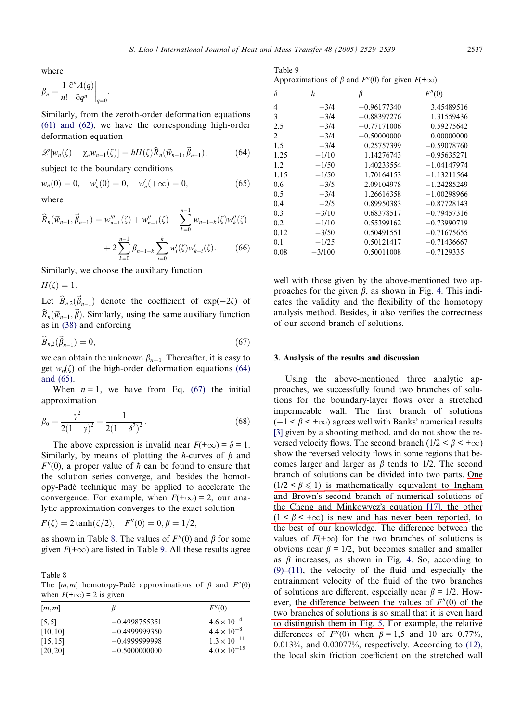where

$$
\beta_n = \frac{1}{n!} \frac{\partial^n A(q)}{\partial q^n} \bigg|_{q=0}.
$$

Similarly, from the zeroth-order deformation equations [\(61\) and \(62\)](#page-7-0), we have the corresponding high-order deformation equation

$$
\mathscr{L}[w_n(\zeta) - \chi_n w_{n-1}(\zeta)] = \hbar H(\zeta) \widehat{R}_n(\vec{w}_{n-1}, \vec{\beta}_{n-1}), \tag{64}
$$

subject to the boundary conditions

$$
w_n(0) = 0, \quad w'_n(0) = 0, \quad w'_n(+\infty) = 0,
$$
 (65)

where

$$
\widehat{R}_n(\vec{w}_{n-1}, \vec{\beta}_{n-1}) = w_{n-1}'''(\zeta) + w_{n-1}''(\zeta) - \sum_{k=0}^{n-1} w_{n-1-k}(\zeta) w_k''(\zeta)
$$

$$
+ 2 \sum_{k=0}^{n-1} \beta_{n-1-k} \sum_{i=0}^k w_i'(\zeta) w_{k-i}'(\zeta). \tag{66}
$$

Similarly, we choose the auxiliary function

 $H(\zeta) = 1.$ 

Table 8

Let  $\widehat{B}_{n,2}(\vec{\beta}_{n-1})$  denote the coefficient of exp(-2 $\zeta$ ) of  $\widehat{R}_n(\vec{w}_{n-1}, \vec{\beta})$ . Similarly, using the same auxiliary function as in [\(38\)](#page-4-0) and enforcing

$$
\widehat{B}_{n,2}(\vec{\beta}_{n-1}) = 0,\t\t(67)
$$

we can obtain the unknown  $\beta_{n-1}$ . Thereafter, it is easy to get  $w_n(\zeta)$  of the high-order deformation equations (64) and (65).

When  $n = 1$ , we have from Eq. (67) the initial approximation

$$
\beta_0 = \frac{\gamma^2}{2(1-\gamma)^2} = \frac{1}{2(1-\delta^2)^2}.
$$
\n(68)

The above expression is invalid near  $F(+\infty) = \delta = 1$ . Similarly, by means of plotting the  $\hbar$ -curves of  $\beta$  and  $F''(0)$ , a proper value of  $\hbar$  can be found to ensure that the solution series converge, and besides the homotopy-Pade´ technique may be applied to accelerate the convergence. For example, when  $F(+\infty) = 2$ , our analytic approximation converges to the exact solution

 $F(\xi) = 2\tanh(\xi/2), \quad F''(0) = 0, \beta = 1/2,$ 

as shown in Table 8. The values of  $F''(0)$  and  $\beta$  for some given  $F(+\infty)$  are listed in Table 9. All these results agree

The  $[m, m]$  homotopy-Padé approximations of  $\beta$  and  $F''(0)$ when  $F(+\infty) = 2$  is given

| $\cdots$ $\cdots$ $\cdots$ $\cdots$ | _____           |                       |
|-------------------------------------|-----------------|-----------------------|
| [m,m]                               | ß               | F''(0)                |
| [5, 5]                              | $-0.4998755351$ | $4.6 \times 10^{-4}$  |
| [10, 10]                            | $-0.4999999350$ | $4.4 \times 10^{-8}$  |
| [15, 15]                            | $-0.4999999998$ | $1.3 \times 10^{-11}$ |
| [20, 20]                            | $-0.5000000000$ | $4.0 \times 10^{-15}$ |

Table 9 Approximations of  $\beta$  and  $F''(0)$  for given  $F(+\infty)$ 

| $\delta$ | h        | β             | F''(0)        |
|----------|----------|---------------|---------------|
| 4        | $-3/4$   | $-0.96177340$ | 3.45489516    |
| 3        | $-3/4$   | $-0.88397276$ | 1.31559436    |
| 2.5      | $-3/4$   | $-0.77171006$ | 0.59275642    |
| 2        | $-3/4$   | $-0.50000000$ | 0.00000000    |
| 1.5      | $-3/4$   | 0.25757399    | $-0.59078760$ |
| 1.25     | $-1/10$  | 1.14276743    | $-0.95635271$ |
| 1.2      | $-1/50$  | 1.40233554    | $-1.04147974$ |
| 1.15     | $-1/50$  | 1.70164153    | $-1.13211564$ |
| 0.6      | $-3/5$   | 2.09104978    | $-1.24285249$ |
| 0.5      | $-3/4$   | 1.26616358    | $-1.00298966$ |
| 0.4      | $-2/5$   | 0.89950383    | $-0.87728143$ |
| 0.3      | $-3/10$  | 0.68378517    | $-0.79457316$ |
| 0.2      | $-1/10$  | 0.55399162    | $-0.73990719$ |
| 0.12     | $-3/50$  | 0.50491551    | $-0.71675655$ |
| 0.1      | $-1/25$  | 0.50121417    | $-0.71436667$ |
| 0.08     | $-3/100$ | 0.50011008    | $-0.7129335$  |

well with those given by the above-mentioned two approaches for the given  $\beta$ , as shown in Fig. [4.](#page-7-0) This indicates the validity and the flexibility of the homotopy analysis method. Besides, it also verifies the correctness of our second branch of solutions.

## 3. Analysis of the results and discussion

Using the above-mentioned three analytic approaches, we successfully found two branches of solutions for the boundary-layer flows over a stretched impermeable wall. The first branch of solutions  $(-1 < \beta < +\infty)$  agrees well with Banks' numerical results [\[3\]](#page-10-0) given by a shooting method, and do not show the reversed velocity flows. The second branch ( $1/2 < \beta < +\infty$ ) show the reversed velocity flows in some regions that becomes larger and larger as  $\beta$  tends to 1/2. The second branch of solutions can be divided into two parts. One  $(1/2 < \beta \le 1)$  is mathematically equivalent to Ingham and Brown's second branch of numerical solutions of the Cheng and Minkowycz's equation [\[17\]](#page-10-0), the other  $(1 \leq \beta \leq +\infty)$  is new and has never been reported, to the best of our knowledge. The difference between the values of  $F(+\infty)$  for the two branches of solutions is obvious near  $\beta = 1/2$ , but becomes smaller and smaller as  $\beta$  increases, as shown in Fig. [4.](#page-7-0) So, according to  $(9)$ – $(11)$ , the velocity of the fluid and especially the entrainment velocity of the fluid of the two branches of solutions are different, especially near  $\beta = 1/2$ . However, the difference between the values of  $F''(0)$  of the two branches of solutions is so small that it is even hard to distinguish them in Fig. [5](#page-9-0). For example, the relative differences of  $F''(0)$  when  $\beta = 1.5$  and 10 are 0.77%, 0.013%, and 0.00077%, respectively. According to [\(12\)](#page-1-0), the local skin friction coefficient on the stretched wall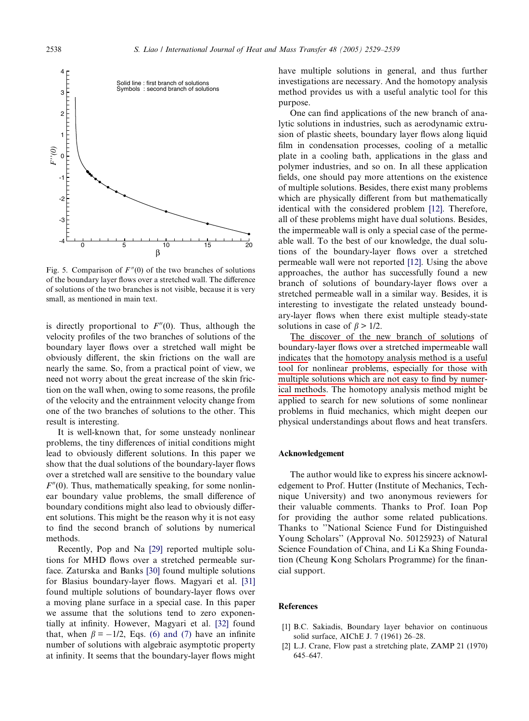<span id="page-9-0"></span>

Fig. 5. Comparison of  $F''(0)$  of the two branches of solutions of the boundary layer flows over a stretched wall. The difference of solutions of the two branches is not visible, because it is very small, as mentioned in main text.

is directly proportional to  $F''(0)$ . Thus, although the velocity profiles of the two branches of solutions of the boundary layer flows over a stretched wall might be obviously different, the skin frictions on the wall are nearly the same. So, from a practical point of view, we need not worry about the great increase of the skin friction on the wall when, owing to some reasons, the profile of the velocity and the entrainment velocity change from one of the two branches of solutions to the other. This result is interesting.

It is well-known that, for some unsteady nonlinear problems, the tiny differences of initial conditions might lead to obviously different solutions. In this paper we show that the dual solutions of the boundary-layer flows over a stretched wall are sensitive to the boundary value  $F''(0)$ . Thus, mathematically speaking, for some nonlinear boundary value problems, the small difference of boundary conditions might also lead to obviously different solutions. This might be the reason why it is not easy to find the second branch of solutions by numerical methods.

Recently, Pop and Na [\[29\]](#page-10-0) reported multiple solutions for MHD flows over a stretched permeable surface. Zaturska and Banks [\[30\]](#page-10-0) found multiple solutions for Blasius boundary-layer flows. Magyari et al. [\[31\]](#page-10-0) found multiple solutions of boundary-layer flows over a moving plane surface in a special case. In this paper we assume that the solutions tend to zero exponentially at infinity. However, Magyari et al. [\[32\]](#page-10-0) found that, when  $\beta = -1/2$ , Eqs. [\(6\) and \(7\)](#page-1-0) have an infinite number of solutions with algebraic asymptotic property at infinity. It seems that the boundary-layer flows might have multiple solutions in general, and thus further investigations are necessary. And the homotopy analysis method provides us with a useful analytic tool for this purpose.

One can find applications of the new branch of analytic solutions in industries, such as aerodynamic extrusion of plastic sheets, boundary layer flows along liquid film in condensation processes, cooling of a metallic plate in a cooling bath, applications in the glass and polymer industries, and so on. In all these application fields, one should pay more attentions on the existence of multiple solutions. Besides, there exist many problems which are physically different from but mathematically identical with the considered problem [\[12\]](#page-10-0). Therefore, all of these problems might have dual solutions. Besides, the impermeable wall is only a special case of the permeable wall. To the best of our knowledge, the dual solutions of the boundary-layer flows over a stretched permeable wall were not reported [\[12\]](#page-10-0). Using the above approaches, the author has successfully found a new branch of solutions of boundary-layer flows over a stretched permeable wall in a similar way. Besides, it is interesting to investigate the related unsteady boundary-layer flows when there exist multiple steady-state solutions in case of  $\beta$  > 1/2.

The discover of the new branch of solutions of boundary-layer flows over a stretched impermeable wall indicates that the homotopy analysis method is a useful tool for nonlinear problems, especially for those with multiple solutions which are not easy to find by numerical methods. The homotopy analysis method might be applied to search for new solutions of some nonlinear problems in fluid mechanics, which might deepen our physical understandings about flows and heat transfers.

## Acknowledgement

The author would like to express his sincere acknowledgement to Prof. Hutter (Institute of Mechanics, Technique University) and two anonymous reviewers for their valuable comments. Thanks to Prof. Ioan Pop for providing the author some related publications. Thanks to ''National Science Fund for Distinguished Young Scholars'' (Approval No. 50125923) of Natural Science Foundation of China, and Li Ka Shing Foundation (Cheung Kong Scholars Programme) for the financial support.

# References

- [1] B.C. Sakiadis, Boundary layer behavior on continuous solid surface, AIChE J. 7 (1961) 26–28.
- [2] L.J. Crane, Flow past a stretching plate, ZAMP 21 (1970) 645–647.